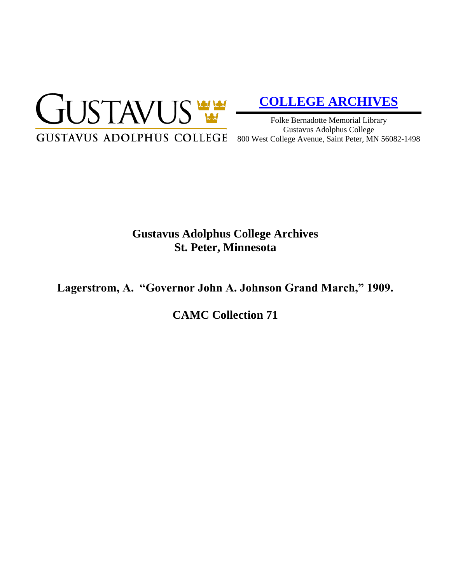

# **[COLLEGE ARCHIVES](http://gustavus.edu/academics/library/archives/)**

Folke Bernadotte Memorial Library Gustavus Adolphus College 800 West College Avenue, Saint Peter, MN 56082-1498

# **Gustavus Adolphus College Archives St. Peter, Minnesota**

**Lagerstrom, A. "Governor John A. Johnson Grand March," 1909.**

**CAMC Collection 71**